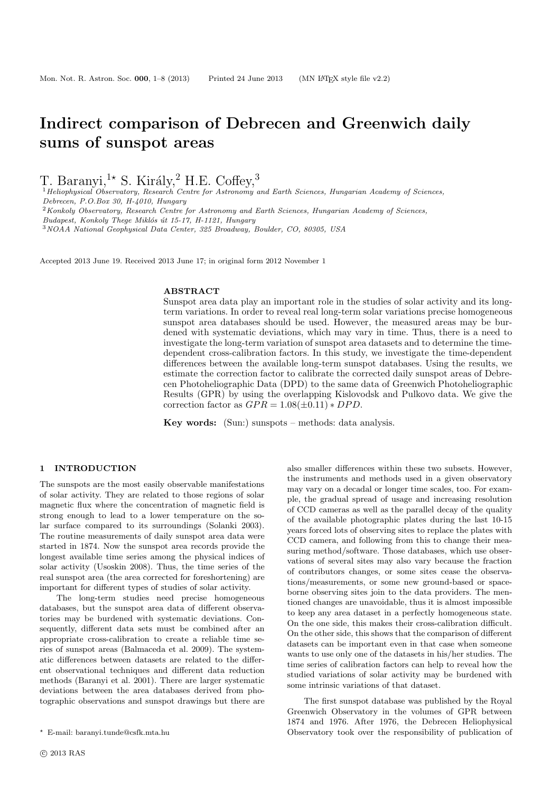# Indirect comparison of Debrecen and Greenwich daily sums of sunspot areas

T. Baranyi,<sup>1</sup><sup>\*</sup> S. Király,<sup>2</sup> H.E. Coffey,<sup>3</sup>

<sup>1</sup> Heliophysical Observatory, Research Centre for Astronomy and Earth Sciences, Hungarian Academy of Sciences, Debrecen, P.O.Box 30, H-4010, Hungary <sup>2</sup>Konkoly Observatory, Research Centre for Astronomy and Earth Sciences, Hungarian Academy of Sciences, Budapest, Konkoly Thege Miklós út 15-17, H-1121, Hungary

<sup>3</sup>NOAA National Geophysical Data Center, 325 Broadway, Boulder, CO, 80305, USA

Accepted 2013 June 19. Received 2013 June 17; in original form 2012 November 1

#### **ABSTRACT**

Sunspot area data play an important role in the studies of solar activity and its longterm variations. In order to reveal real long-term solar variations precise homogeneous sunspot area databases should be used. However, the measured areas may be burdened with systematic deviations, which may vary in time. Thus, there is a need to investigate the long-term variation of sunspot area datasets and to determine the timedependent cross-calibration factors. In this study, we investigate the time-dependent differences between the available long-term sunspot databases. Using the results, we estimate the correction factor to calibrate the corrected daily sunspot areas of Debrecen Photoheliographic Data (DPD) to the same data of Greenwich Photoheliographic Results (GPR) by using the overlapping Kislovodsk and Pulkovo data. We give the correction factor as  $GPR = 1.08(\pm 0.11) * DPD$ .

Key words: (Sun:) sunspots – methods: data analysis.

#### 1 INTRODUCTION

The sunspots are the most easily observable manifestations of solar activity. They are related to those regions of solar magnetic flux where the concentration of magnetic field is strong enough to lead to a lower temperature on the solar surface compared to its surroundings (Solanki 2003). The routine measurements of daily sunspot area data were started in 1874. Now the sunspot area records provide the longest available time series among the physical indices of solar activity (Usoskin 2008). Thus, the time series of the real sunspot area (the area corrected for foreshortening) are important for different types of studies of solar activity.

The long-term studies need precise homogeneous databases, but the sunspot area data of different observatories may be burdened with systematic deviations. Consequently, different data sets must be combined after an appropriate cross-calibration to create a reliable time series of sunspot areas (Balmaceda et al. 2009). The systematic differences between datasets are related to the different observational techniques and different data reduction methods (Baranyi et al. 2001). There are larger systematic deviations between the area databases derived from photographic observations and sunspot drawings but there are

also smaller differences within these two subsets. However, the instruments and methods used in a given observatory may vary on a decadal or longer time scales, too. For example, the gradual spread of usage and increasing resolution of CCD cameras as well as the parallel decay of the quality of the available photographic plates during the last 10-15 years forced lots of observing sites to replace the plates with CCD camera, and following from this to change their measuring method/software. Those databases, which use observations of several sites may also vary because the fraction of contributors changes, or some sites cease the observations/measurements, or some new ground-based or spaceborne observing sites join to the data providers. The mentioned changes are unavoidable, thus it is almost impossible to keep any area dataset in a perfectly homogeneous state. On the one side, this makes their cross-calibration difficult. On the other side, this shows that the comparison of different datasets can be important even in that case when someone wants to use only one of the datasets in his/her studies. The time series of calibration factors can help to reveal how the studied variations of solar activity may be burdened with some intrinsic variations of that dataset.

The first sunspot database was published by the Royal Greenwich Observatory in the volumes of GPR between 1874 and 1976. After 1976, the Debrecen Heliophysical Observatory took over the responsibility of publication of

<sup>⋆</sup> E-mail: baranyi.tunde@csfk.mta.hu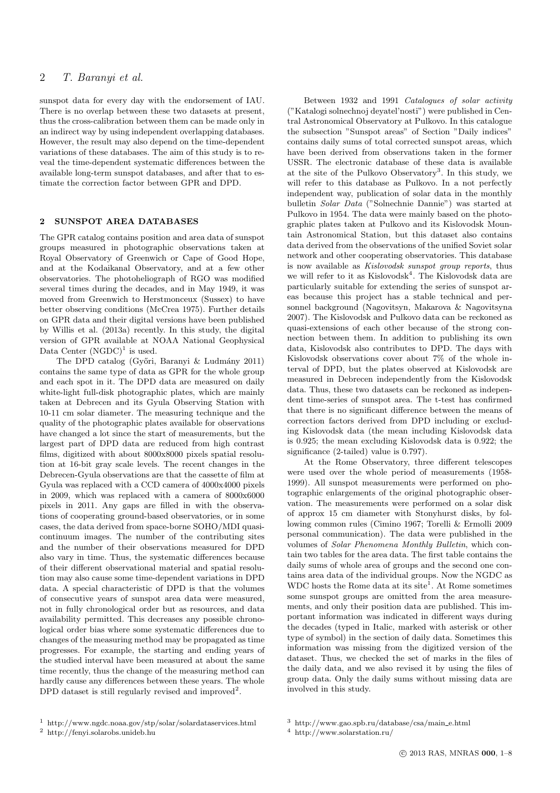# 2 T. Baranyi et al.

sunspot data for every day with the endorsement of IAU. There is no overlap between these two datasets at present, thus the cross-calibration between them can be made only in an indirect way by using independent overlapping databases. However, the result may also depend on the time-dependent variations of these databases. The aim of this study is to reveal the time-dependent systematic differences between the available long-term sunspot databases, and after that to estimate the correction factor between GPR and DPD.

## 2 SUNSPOT AREA DATABASES

The GPR catalog contains position and area data of sunspot groups measured in photographic observations taken at Royal Observatory of Greenwich or Cape of Good Hope, and at the Kodaikanal Observatory, and at a few other observatories. The photoheliograph of RGO was modified several times during the decades, and in May 1949, it was moved from Greenwich to Herstmonceux (Sussex) to have better observing conditions (McCrea 1975). Further details on GPR data and their digital versions have been published by Willis et al. (2013a) recently. In this study, the digital version of GPR available at NOAA National Geophysical Data Center  $(NGDC)^1$  is used.

The DPD catalog (Győri, Baranyi & Ludmány 2011) contains the same type of data as GPR for the whole group and each spot in it. The DPD data are measured on daily white-light full-disk photographic plates, which are mainly taken at Debrecen and its Gyula Observing Station with 10-11 cm solar diameter. The measuring technique and the quality of the photographic plates available for observations have changed a lot since the start of measurements, but the largest part of DPD data are reduced from high contrast films, digitized with about 8000x8000 pixels spatial resolution at 16-bit gray scale levels. The recent changes in the Debrecen-Gyula observations are that the cassette of film at Gyula was replaced with a CCD camera of 4000x4000 pixels in 2009, which was replaced with a camera of 8000x6000 pixels in 2011. Any gaps are filled in with the observations of cooperating ground-based observatories, or in some cases, the data derived from space-borne SOHO/MDI quasicontinuum images. The number of the contributing sites and the number of their observations measured for DPD also vary in time. Thus, the systematic differences because of their different observational material and spatial resolution may also cause some time-dependent variations in DPD data. A special characteristic of DPD is that the volumes of consecutive years of sunspot area data were measured, not in fully chronological order but as resources, and data availability permitted. This decreases any possible chronological order bias where some systematic differences due to changes of the measuring method may be propagated as time progresses. For example, the starting and ending years of the studied interval have been measured at about the same time recently, thus the change of the measuring method can hardly cause any differences between these years. The whole DPD dataset is still regularly revised and improved<sup>2</sup>.

Between 1932 and 1991 Catalogues of solar activity ("Katalogi solnechnoj deyatel'nosti") were published in Central Astronomical Observatory at Pulkovo. In this catalogue the subsection "Sunspot areas" of Section "Daily indices" contains daily sums of total corrected sunspot areas, which have been derived from observations taken in the former USSR. The electronic database of these data is available at the site of the Pulkovo Observatory<sup>3</sup>. In this study, we will refer to this database as Pulkovo. In a not perfectly independent way, publication of solar data in the monthly bulletin Solar Data ("Solnechnie Dannie") was started at Pulkovo in 1954. The data were mainly based on the photographic plates taken at Pulkovo and its Kislovodsk Mountain Astronomical Station, but this dataset also contains data derived from the observations of the unified Soviet solar network and other cooperating observatories. This database is now available as Kislovodsk sunspot group reports, thus we will refer to it as Kislovodsk<sup>4</sup>. The Kislovodsk data are particularly suitable for extending the series of sunspot areas because this project has a stable technical and personnel background (Nagovitsyn, Makarova & Nagovitsyna 2007). The Kislovodsk and Pulkovo data can be reckoned as quasi-extensions of each other because of the strong connection between them. In addition to publishing its own data, Kislovodsk also contributes to DPD. The days with Kislovodsk observations cover about 7% of the whole interval of DPD, but the plates observed at Kislovodsk are measured in Debrecen independently from the Kislovodsk data. Thus, these two datasets can be reckoned as independent time-series of sunspot area. The t-test has confirmed that there is no significant difference between the means of correction factors derived from DPD including or excluding Kislovodsk data (the mean including Kislovodsk data is 0.925; the mean excluding Kislovodsk data is 0.922; the significance (2-tailed) value is 0.797).

At the Rome Observatory, three different telescopes were used over the whole period of measurements (1958- 1999). All sunspot measurements were performed on photographic enlargements of the original photographic observation. The measurements were performed on a solar disk of approx 15 cm diameter with Stonyhurst disks, by following common rules (Cimino 1967; Torelli & Ermolli 2009 personal communication). The data were published in the volumes of Solar Phenomena Monthly Bulletin, which contain two tables for the area data. The first table contains the daily sums of whole area of groups and the second one contains area data of the individual groups. Now the NGDC as  $WDC$  hosts the Rome data at its site<sup>1</sup>. At Rome sometimes some sunspot groups are omitted from the area measurements, and only their position data are published. This important information was indicated in different ways during the decades (typed in Italic, marked with asterisk or other type of symbol) in the section of daily data. Sometimes this information was missing from the digitized version of the dataset. Thus, we checked the set of marks in the files of the daily data, and we also revised it by using the files of group data. Only the daily sums without missing data are involved in this study.

<sup>1</sup> http://www.ngdc.noaa.gov/stp/solar/solardataservices.html

<sup>2</sup> http://fenyi.solarobs.unideb.hu

<sup>3</sup> http://www.gao.spb.ru/database/csa/main e.html

<sup>4</sup> http://www.solarstation.ru/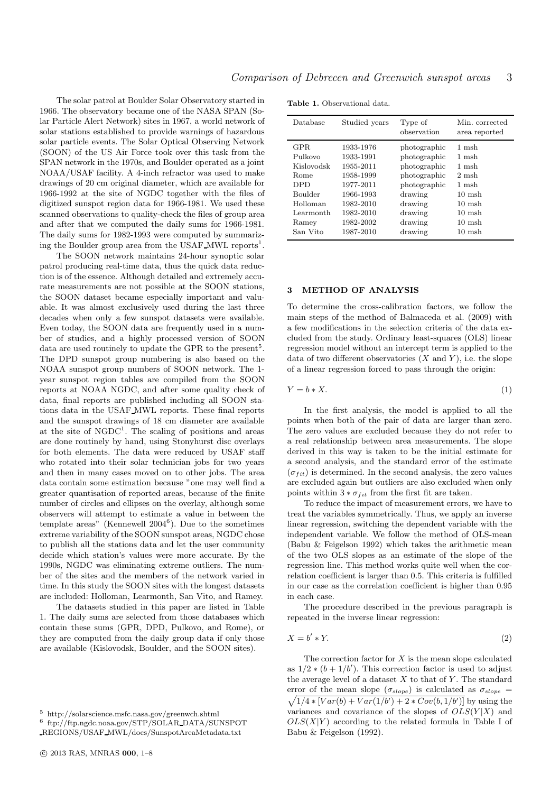The solar patrol at Boulder Solar Observatory started in 1966. The observatory became one of the NASA SPAN (Solar Particle Alert Network) sites in 1967, a world network of solar stations established to provide warnings of hazardous solar particle events. The Solar Optical Observing Network (SOON) of the US Air Force took over this task from the SPAN network in the 1970s, and Boulder operated as a joint NOAA/USAF facility. A 4-inch refractor was used to make drawings of 20 cm original diameter, which are available for 1966-1992 at the site of NGDC together with the files of digitized sunspot region data for 1966-1981. We used these scanned observations to quality-check the files of group area and after that we computed the daily sums for 1966-1981. The daily sums for 1982-1993 were computed by summarizing the Boulder group area from the USAF MWL reports<sup>1</sup>.

The SOON network maintains 24-hour synoptic solar patrol producing real-time data, thus the quick data reduction is of the essence. Although detailed and extremely accurate measurements are not possible at the SOON stations, the SOON dataset became especially important and valuable. It was almost exclusively used during the last three decades when only a few sunspot datasets were available. Even today, the SOON data are frequently used in a number of studies, and a highly processed version of SOON data are used routinely to update the GPR to the present<sup>5</sup>. The DPD sunspot group numbering is also based on the NOAA sunspot group numbers of SOON network. The 1 year sunspot region tables are compiled from the SOON reports at NOAA NGDC, and after some quality check of data, final reports are published including all SOON stations data in the USAF MWL reports. These final reports and the sunspot drawings of 18 cm diameter are available at the site of  $NGDC<sup>1</sup>$ . The scaling of positions and areas are done routinely by hand, using Stonyhurst disc overlays for both elements. The data were reduced by USAF staff who rotated into their solar technician jobs for two years and then in many cases moved on to other jobs. The area data contain some estimation because "one may well find a greater quantisation of reported areas, because of the finite number of circles and ellipses on the overlay, although some observers will attempt to estimate a value in between the template areas" (Kennewell  $2004^6$ ). Due to the sometimes extreme variability of the SOON sunspot areas, NGDC chose to publish all the stations data and let the user community decide which station's values were more accurate. By the 1990s, NGDC was eliminating extreme outliers. The number of the sites and the members of the network varied in time. In this study the SOON sites with the longest datasets are included: Holloman, Learmonth, San Vito, and Ramey.

The datasets studied in this paper are listed in Table 1. The daily sums are selected from those databases which contain these sums (GPR, DPD, Pulkovo, and Rome), or they are computed from the daily group data if only those are available (Kislovodsk, Boulder, and the SOON sites).

| Database                                                                                                     | Studied years                                                                                                                  | Type of<br>observation                                                                                                              | Min. corrected<br>area reported                                                                                                                                   |
|--------------------------------------------------------------------------------------------------------------|--------------------------------------------------------------------------------------------------------------------------------|-------------------------------------------------------------------------------------------------------------------------------------|-------------------------------------------------------------------------------------------------------------------------------------------------------------------|
| GPR.<br>Pulkovo<br>Kislovodsk<br>Rome<br><b>DPD</b><br>Boulder<br>Holloman<br>Learmonth<br>Ramey<br>San Vito | 1933-1976<br>1933-1991<br>1955-2011<br>1958-1999<br>1977-2011<br>1966-1993<br>1982-2010<br>1982-2010<br>1982-2002<br>1987-2010 | photographic<br>photographic<br>photographic<br>photographic<br>photographic<br>drawing<br>drawing<br>drawing<br>drawing<br>drawing | 1 msh<br>$1 \text{ msh}$<br>1 msh<br>$2 \text{ msh}$<br>1 msh<br>$10 \text{ msh}$<br>$10 \text{ msh}$<br>$10 \text{ msh}$<br>$10 \text{ msh}$<br>$10 \text{ msh}$ |
|                                                                                                              |                                                                                                                                |                                                                                                                                     |                                                                                                                                                                   |

Table 1. Observational data.

#### **METHOD OF ANALYSIS**

To determine the cross-calibration factors, we follow the main steps of the method of Balmaceda et al. (2009) with a few modifications in the selection criteria of the data excluded from the study. Ordinary least-squares (OLS) linear regression model without an intercept term is applied to the data of two different observatories  $(X \text{ and } Y)$ , i.e. the slope of a linear regression forced to pass through the origin:

$$
Y = b * X.
$$
 (1)

In the first analysis, the model is applied to all the points when both of the pair of data are larger than zero. The zero values are excluded because they do not refer to a real relationship between area measurements. The slope derived in this way is taken to be the initial estimate for a second analysis, and the standard error of the estimate  $(\sigma_{fit})$  is determined. In the second analysis, the zero values are excluded again but outliers are also excluded when only points within  $3 * \sigma_{fit}$  from the first fit are taken.

To reduce the impact of measurement errors, we have to treat the variables symmetrically. Thus, we apply an inverse linear regression, switching the dependent variable with the independent variable. We follow the method of OLS-mean (Babu & Feigelson 1992) which takes the arithmetic mean of the two OLS slopes as an estimate of the slope of the regression line. This method works quite well when the correlation coefficient is larger than 0.5. This criteria is fulfilled in our case as the correlation coefficient is higher than 0.95 in each case.

The procedure described in the previous paragraph is repeated in the inverse linear regression:

$$
X = b' * Y.
$$
 (2)

The correction factor for  $X$  is the mean slope calculated as  $1/2 * (b + 1/b')$ . This correction factor is used to adjust the average level of a dataset  $X$  to that of  $Y$ . The standard  $\sqrt{1/4 * [Var(b) + Var(1/b') + 2 * Cov(b, 1/b')] }$  by using the error of the mean slope  $(\sigma_{slope})$  is calculated as  $\sigma_{slope}$  = variances and covariance of the slopes of  $OLS(Y|X)$  and  $OLS(X|Y)$  according to the related formula in Table I of Babu & Feigelson (1992).

<sup>5</sup> http://solarscience.msfc.nasa.gov/greenwch.shtml

<sup>6</sup> ftp://ftp.ngdc.noaa.gov/STP/SOLAR DATA/SUNSPOT

REGIONS/USAF MWL/docs/SunspotAreaMetadata.txt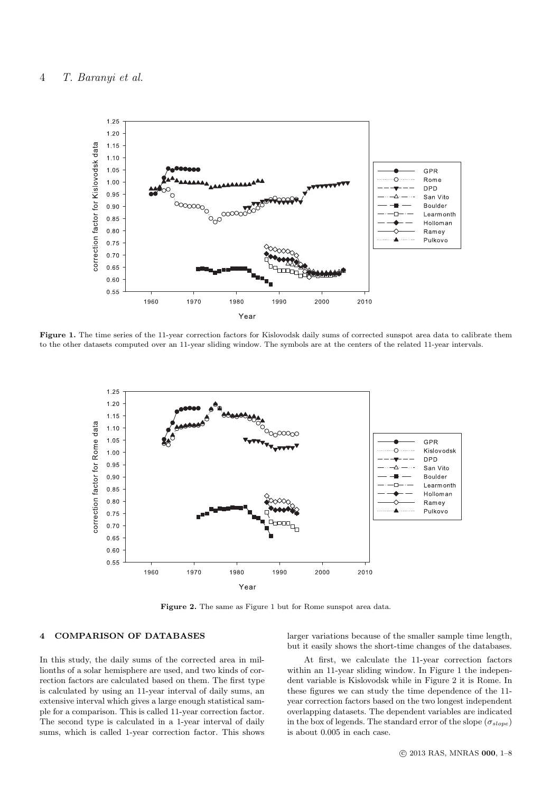

Figure 1. The time series of the 11-year correction factors for Kislovodsk daily sums of corrected sunspot area data to calibrate them to the other datasets computed over an 11-year sliding window. The symbols are at the centers of the related 11-year intervals.



Figure 2. The same as Figure 1 but for Rome sunspot area data.

# 4 COMPARISON OF DATABASES

In this study, the daily sums of the corrected area in millionths of a solar hemisphere are used, and two kinds of correction factors are calculated based on them. The first type is calculated by using an 11-year interval of daily sums, an extensive interval which gives a large enough statistical sample for a comparison. This is called 11-year correction factor. The second type is calculated in a 1-year interval of daily sums, which is called 1-year correction factor. This shows

larger variations because of the smaller sample time length, but it easily shows the short-time changes of the databases.

At first, we calculate the 11-year correction factors within an 11-year sliding window. In Figure 1 the independent variable is Kislovodsk while in Figure 2 it is Rome. In these figures we can study the time dependence of the 11 year correction factors based on the two longest independent overlapping datasets. The dependent variables are indicated in the box of legends. The standard error of the slope  $(\sigma_{slope})$ is about 0.005 in each case.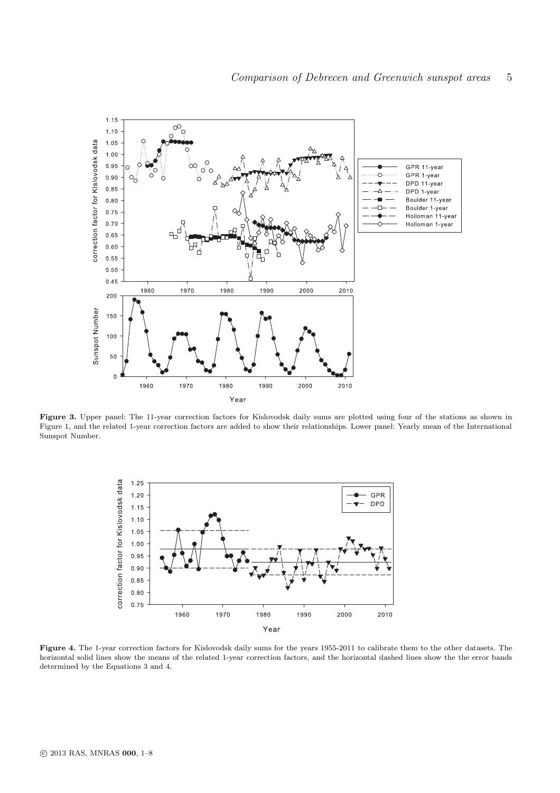

Figure 3. Upper panel: The 11-year correction factors for Kislovodsk daily sums are plotted using four of the stations as shown in Figure 1, and the related 1-year correction factors are added to show their relationships. Lower panel: Yearly mean of the International Sunspot Number.



Figure 4. The 1-year correction factors for Kislovodsk daily sums for the years 1955-2011 to calibrate them to the other datasets. The horizontal solid lines show the means of the related 1-year correction factors, and the horizontal dashed lines show the the error bands determined by the Equations 3 and 4.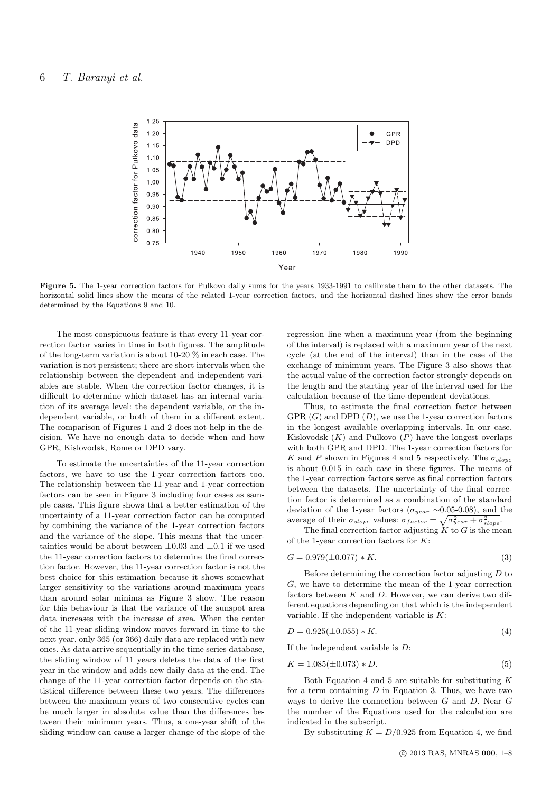

Figure 5. The 1-year correction factors for Pulkovo daily sums for the years 1933-1991 to calibrate them to the other datasets. The horizontal solid lines show the means of the related 1-year correction factors, and the horizontal dashed lines show the error bands determined by the Equations 9 and 10.

The most conspicuous feature is that every 11-year correction factor varies in time in both figures. The amplitude of the long-term variation is about 10-20 % in each case. The variation is not persistent; there are short intervals when the relationship between the dependent and independent variables are stable. When the correction factor changes, it is difficult to determine which dataset has an internal variation of its average level: the dependent variable, or the independent variable, or both of them in a different extent. The comparison of Figures 1 and 2 does not help in the decision. We have no enough data to decide when and how GPR, Kislovodsk, Rome or DPD vary.

To estimate the uncertainties of the 11-year correction factors, we have to use the 1-year correction factors too. The relationship between the 11-year and 1-year correction factors can be seen in Figure 3 including four cases as sample cases. This figure shows that a better estimation of the uncertainty of a 11-year correction factor can be computed by combining the variance of the 1-year correction factors and the variance of the slope. This means that the uncertainties would be about between  $\pm 0.03$  and  $\pm 0.1$  if we used the 11-year correction factors to determine the final correction factor. However, the 11-year correction factor is not the best choice for this estimation because it shows somewhat larger sensitivity to the variations around maximum years than around solar minima as Figure 3 show. The reason for this behaviour is that the variance of the sunspot area data increases with the increase of area. When the center of the 11-year sliding window moves forward in time to the next year, only 365 (or 366) daily data are replaced with new ones. As data arrive sequentially in the time series database, the sliding window of 11 years deletes the data of the first year in the window and adds new daily data at the end. The change of the 11-year correction factor depends on the statistical difference between these two years. The differences between the maximum years of two consecutive cycles can be much larger in absolute value than the differences between their minimum years. Thus, a one-year shift of the sliding window can cause a larger change of the slope of the regression line when a maximum year (from the beginning of the interval) is replaced with a maximum year of the next cycle (at the end of the interval) than in the case of the exchange of minimum years. The Figure 3 also shows that the actual value of the correction factor strongly depends on the length and the starting year of the interval used for the calculation because of the time-dependent deviations.

Thus, to estimate the final correction factor between GPR  $(G)$  and DPD  $(D)$ , we use the 1-year correction factors in the longest available overlapping intervals. In our case, Kislovodsk  $(K)$  and Pulkovo  $(P)$  have the longest overlaps with both GPR and DPD. The 1-year correction factors for K and P shown in Figures 4 and 5 respectively. The  $\sigma_{slope}$ is about 0.015 in each case in these figures. The means of the 1-year correction factors serve as final correction factors between the datasets. The uncertainty of the final correction factor is determined as a combination of the standard deviation of the 1-year factors ( $\sigma_{year} \sim 0.05{\text -}0.08$ ), and the average of their  $\sigma_{slope}$  values:  $\sigma_{factor} = \sqrt{\sigma_{year}^2 + \sigma_{slope}^2}$ .

The final correction factor adjusting  $K$  to  $G$  is the mean of the 1-year correction factors for  $K$ :

$$
G = 0.979(\pm 0.077) * K.
$$
\n(3)

Before determining the correction factor adjusting  $D$  to G, we have to determine the mean of the 1-year correction factors between  $K$  and  $D$ . However, we can derive two different equations depending on that which is the independent variable. If the independent variable is  $K$ :

$$
D = 0.925(\pm 0.055) * K.
$$
\n<sup>(4)</sup>

If the independent variable is  $D$ :

$$
K = 1.085(\pm 0.073) * D.
$$
\n<sup>(5)</sup>

Both Equation 4 and 5 are suitable for substituting  $K$ for a term containing  $D$  in Equation 3. Thus, we have two ways to derive the connection between G and D. Near G the number of the Equations used for the calculation are indicated in the subscript.

By substituting  $K = D/0.925$  from Equation 4, we find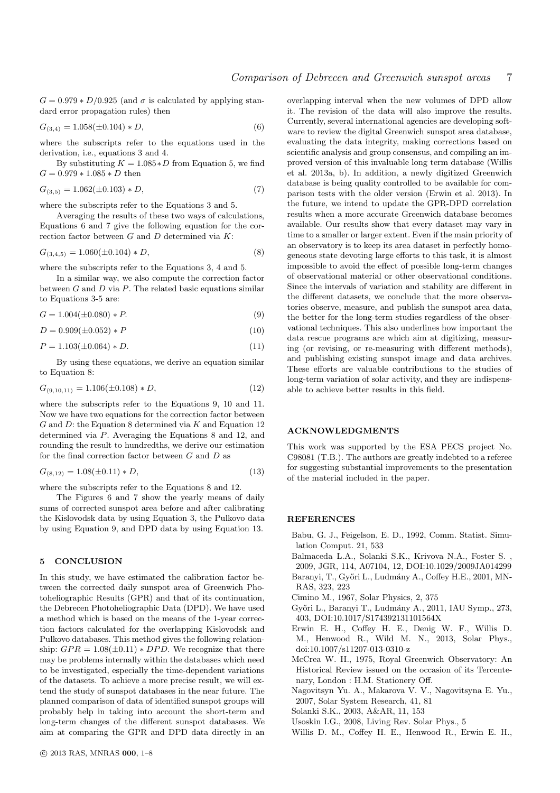$G = 0.979 * D/0.925$  (and  $\sigma$  is calculated by applying standard error propagation rules) then

$$
G_{(3,4)} = 1.058(\pm 0.104) * D,\t\t(6)
$$

where the subscripts refer to the equations used in the derivation, i.e., equations 3 and 4.

By substituting  $K = 1.085*D$  from Equation 5, we find  $G = 0.979 * 1.085 * D$  then

$$
G_{(3,5)} = 1.062(\pm 0.103) * D,\t\t(7)
$$

where the subscripts refer to the Equations 3 and 5.

Averaging the results of these two ways of calculations, Equations 6 and 7 give the following equation for the correction factor between  $G$  and  $D$  determined via  $K$ :

$$
G_{(3,4,5)} = 1.060(\pm 0.104) * D,
$$
\n(8)

where the subscripts refer to the Equations 3, 4 and 5.

In a similar way, we also compute the correction factor between  $G$  and  $D$  via  $P$ . The related basic equations similar to Equations 3-5 are:

$$
G = 1.004(\pm 0.080) * P.
$$
\n(9)

$$
D = 0.909(\pm 0.052) * P \tag{10}
$$

$$
P = 1.103(\pm 0.064) * D.
$$
\n<sup>(11)</sup>

By using these equations, we derive an equation similar to Equation 8:

$$
G_{(9,10,11)} = 1.106(\pm 0.108) * D,
$$
\n(12)

where the subscripts refer to the Equations 9, 10 and 11. Now we have two equations for the correction factor between  $G$  and  $D$ : the Equation 8 determined via  $K$  and Equation 12 determined via P. Averaging the Equations 8 and 12, and rounding the result to hundredths, we derive our estimation for the final correction factor between  $G$  and  $D$  as

$$
G_{(8,12)} = 1.08(\pm 0.11) * D,
$$
\n(13)

where the subscripts refer to the Equations 8 and 12.

The Figures 6 and 7 show the yearly means of daily sums of corrected sunspot area before and after calibrating the Kislovodsk data by using Equation 3, the Pulkovo data by using Equation 9, and DPD data by using Equation 13.

# 5 CONCLUSION

In this study, we have estimated the calibration factor between the corrected daily sunspot area of Greenwich Photoheliographic Results (GPR) and that of its continuation, the Debrecen Photoheliographic Data (DPD). We have used a method which is based on the means of the 1-year correction factors calculated for the overlapping Kislovodsk and Pulkovo databases. This method gives the following relationship:  $GPR = 1.08(\pm 0.11) * DPD$ . We recognize that there may be problems internally within the databases which need to be investigated, especially the time-dependent variations of the datasets. To achieve a more precise result, we will extend the study of sunspot databases in the near future. The planned comparison of data of identified sunspot groups will probably help in taking into account the short-term and long-term changes of the different sunspot databases. We aim at comparing the GPR and DPD data directly in an

overlapping interval when the new volumes of DPD allow it. The revision of the data will also improve the results. Currently, several international agencies are developing software to review the digital Greenwich sunspot area database, evaluating the data integrity, making corrections based on scientific analysis and group consensus, and compiling an improved version of this invaluable long term database (Willis et al. 2013a, b). In addition, a newly digitized Greenwich database is being quality controlled to be available for comparison tests with the older version (Erwin et al. 2013). In the future, we intend to update the GPR-DPD correlation results when a more accurate Greenwich database becomes available. Our results show that every dataset may vary in time to a smaller or larger extent. Even if the main priority of an observatory is to keep its area dataset in perfectly homogeneous state devoting large efforts to this task, it is almost impossible to avoid the effect of possible long-term changes of observational material or other observational conditions. Since the intervals of variation and stability are different in the different datasets, we conclude that the more observatories observe, measure, and publish the sunspot area data, the better for the long-term studies regardless of the observational techniques. This also underlines how important the data rescue programs are which aim at digitizing, measuring (or revising, or re-measuring with different methods), and publishing existing sunspot image and data archives. These efforts are valuable contributions to the studies of long-term variation of solar activity, and they are indispensable to achieve better results in this field.

## ACKNOWLEDGMENTS

This work was supported by the ESA PECS project No. C98081 (T.B.). The authors are greatly indebted to a referee for suggesting substantial improvements to the presentation of the material included in the paper.

## **REFERENCES**

- Babu, G. J., Feigelson, E. D., 1992, Comm. Statist. Simulation Comput. 21, 533
- Balmaceda L.A., Solanki S.K., Krivova N.A., Foster S. ,
- 2009, JGR, 114, A07104, 12, DOI:10.1029/2009JA014299 Baranyi, T., Győri L., Ludmány A., Coffey H.E., 2001, MN-RAS, 323, 223
- Cimino M., 1967, Solar Physics, 2, 375
- Gy˝ori L., Baranyi T., Ludm´any A., 2011, IAU Symp., 273, 403, DOI:10.1017/S174392131101564X
- Erwin E. H., Coffey H. E., Denig W. F., Willis D. M., Henwood R., Wild M. N., 2013, Solar Phys., doi:10.1007/s11207-013-0310-z
- McCrea W. H., 1975, Royal Greenwich Observatory: An Historical Review issued on the occasion of its Tercentenary, London : H.M. Stationery Off.
- Nagovitsyn Yu. A., Makarova V. V., Nagovitsyna E. Yu., 2007, Solar System Research, 41, 81
- Solanki S.K., 2003, A&AR, 11, 153
- Usoskin I.G., 2008, Living Rev. Solar Phys., 5
- Willis D. M., Coffey H. E., Henwood R., Erwin E. H.,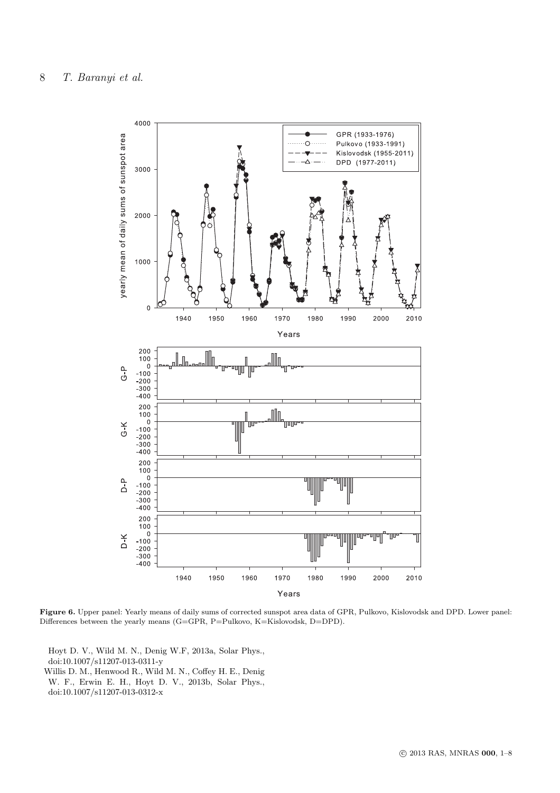

Figure 6. Upper panel: Yearly means of daily sums of corrected sunspot area data of GPR, Pulkovo, Kislovodsk and DPD. Lower panel: Differences between the yearly means (G=GPR, P=Pulkovo, K=Kislovodsk, D=DPD).

Hoyt D. V., Wild M. N., Denig W.F, 2013a, Solar Phys., doi:10.1007/s11207-013-0311-y Willis D. M., Henwood R., Wild M. N., Coffey H. E., Denig W. F., Erwin E. H., Hoyt D. V., 2013b, Solar Phys., doi:10.1007/s11207-013-0312-x